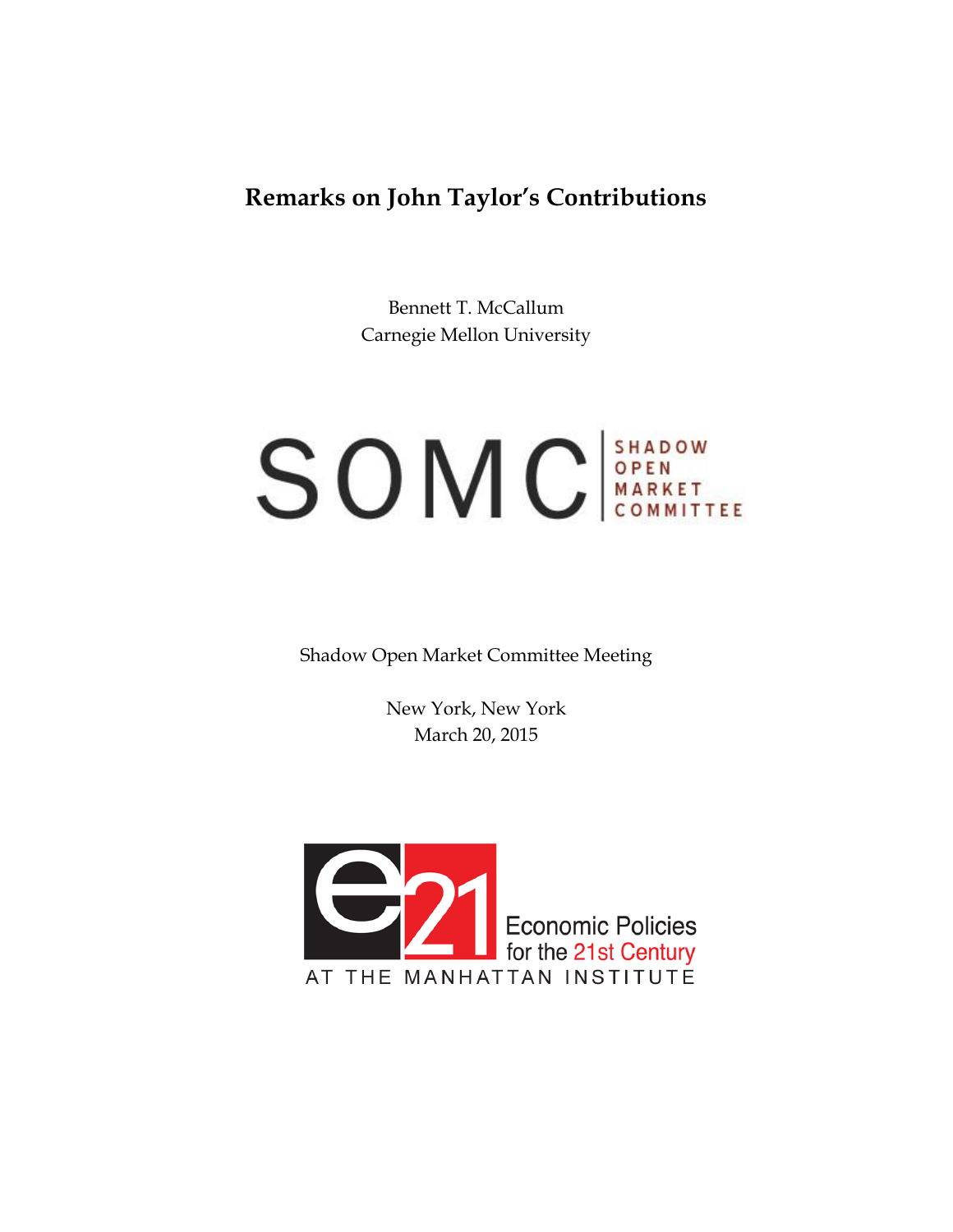## **Remarks on John Taylor's Contributions**

Bennett T. McCallum Carnegie Mellon University

## SOMC<sup>SHADOW</sup>

Shadow Open Market Committee Meeting

New York, New York March 20, 2015

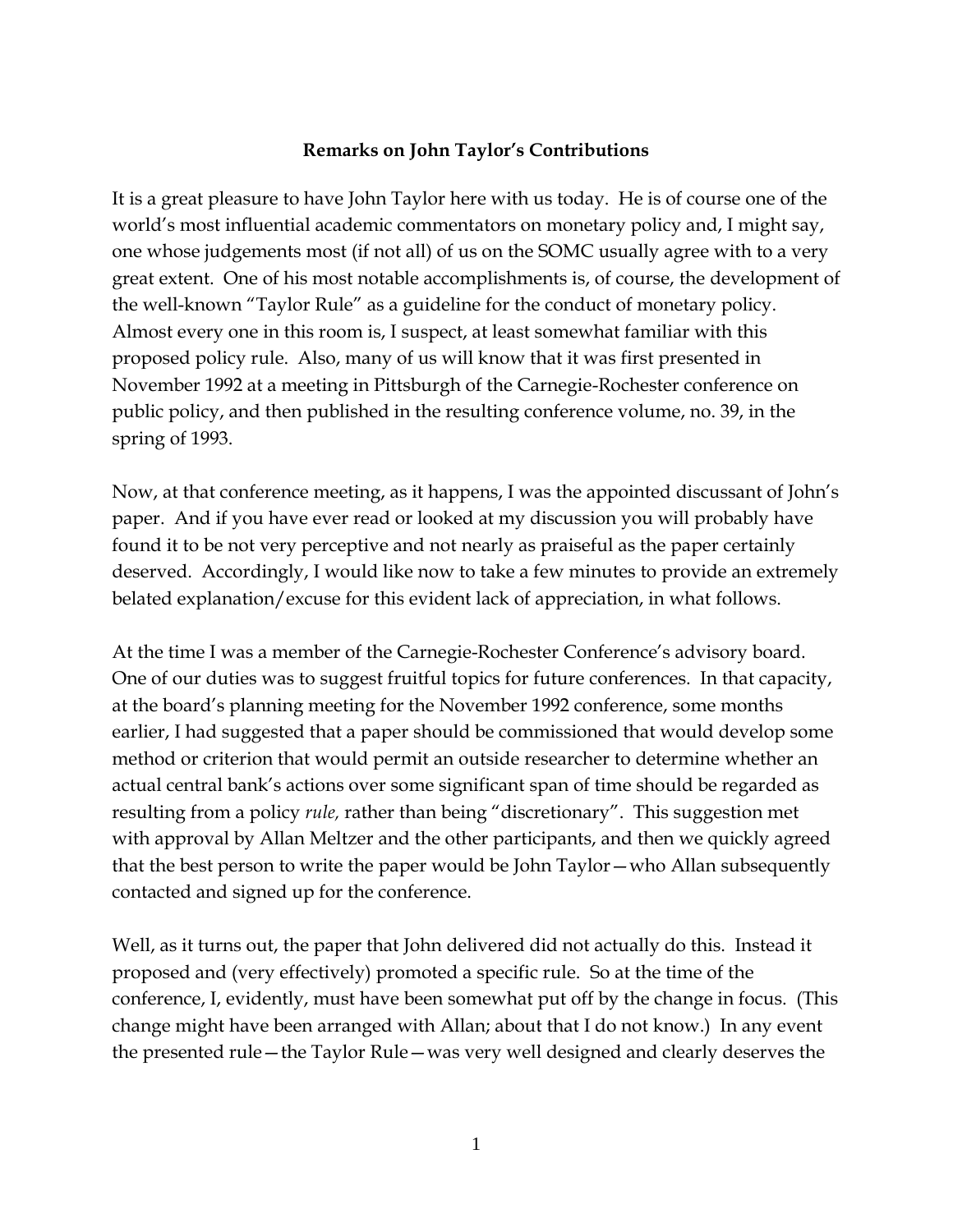## **Remarks on John Taylor's Contributions**

It is a great pleasure to have John Taylor here with us today. He is of course one of the world's most influential academic commentators on monetary policy and, I might say, one whose judgements most (if not all) of us on the SOMC usually agree with to a very great extent. One of his most notable accomplishments is, of course, the development of the well-known "Taylor Rule" as a guideline for the conduct of monetary policy. Almost every one in this room is, I suspect, at least somewhat familiar with this proposed policy rule. Also, many of us will know that it was first presented in November 1992 at a meeting in Pittsburgh of the Carnegie-Rochester conference on public policy, and then published in the resulting conference volume, no. 39, in the spring of 1993.

Now, at that conference meeting, as it happens, I was the appointed discussant of John's paper. And if you have ever read or looked at my discussion you will probably have found it to be not very perceptive and not nearly as praiseful as the paper certainly deserved. Accordingly, I would like now to take a few minutes to provide an extremely belated explanation/excuse for this evident lack of appreciation, in what follows.

At the time I was a member of the Carnegie-Rochester Conference's advisory board. One of our duties was to suggest fruitful topics for future conferences. In that capacity, at the board's planning meeting for the November 1992 conference, some months earlier, I had suggested that a paper should be commissioned that would develop some method or criterion that would permit an outside researcher to determine whether an actual central bank's actions over some significant span of time should be regarded as resulting from a policy *rule,* rather than being "discretionary". This suggestion met with approval by Allan Meltzer and the other participants, and then we quickly agreed that the best person to write the paper would be John Taylor—who Allan subsequently contacted and signed up for the conference.

Well, as it turns out, the paper that John delivered did not actually do this. Instead it proposed and (very effectively) promoted a specific rule. So at the time of the conference, I, evidently, must have been somewhat put off by the change in focus. (This change might have been arranged with Allan; about that I do not know.) In any event the presented rule—the Taylor Rule—was very well designed and clearly deserves the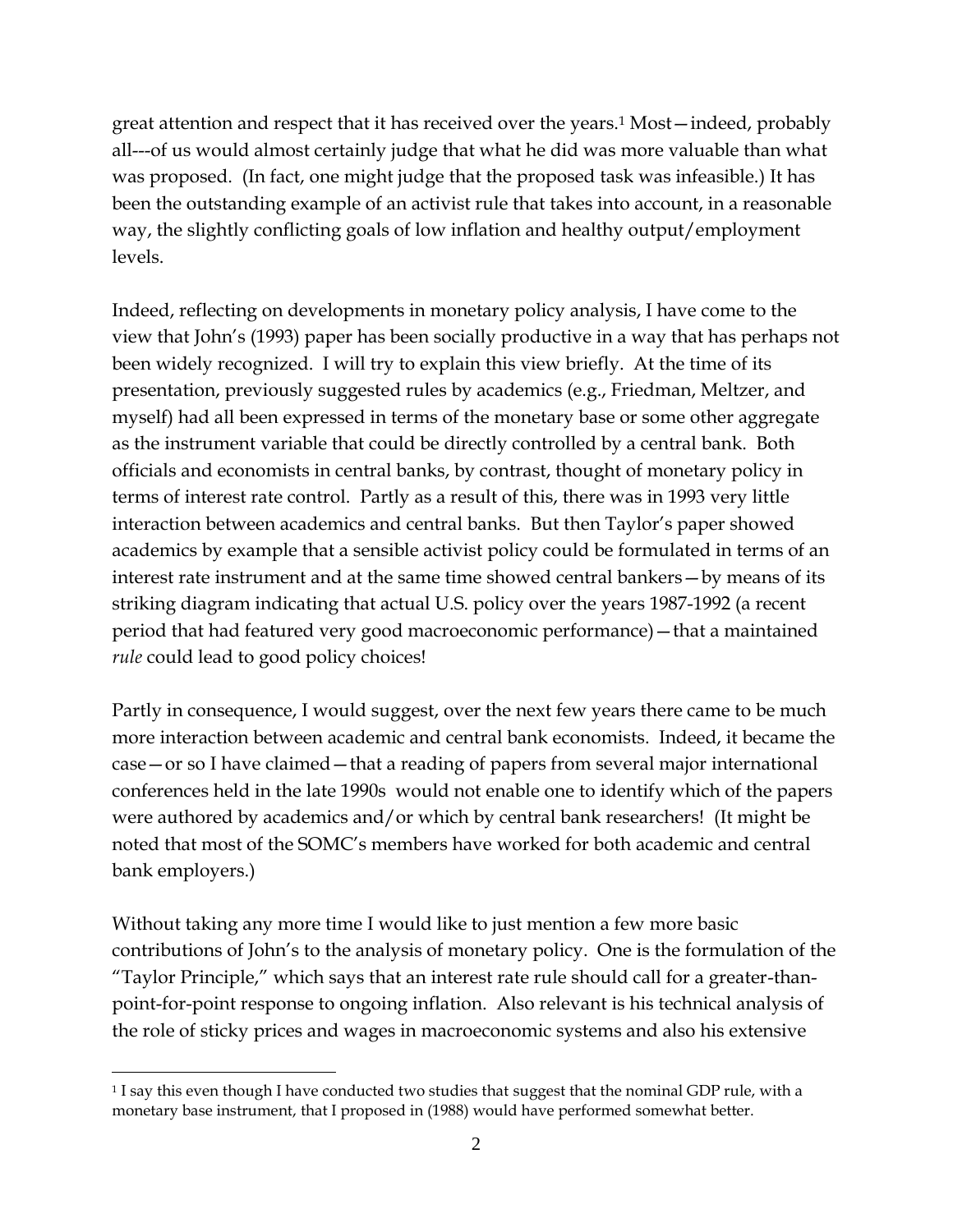great attention and respect that it has received over the years.<sup>1</sup> Most—indeed, probably all---of us would almost certainly judge that what he did was more valuable than what was proposed. (In fact, one might judge that the proposed task was infeasible.) It has been the outstanding example of an activist rule that takes into account, in a reasonable way, the slightly conflicting goals of low inflation and healthy output/employment levels.

Indeed, reflecting on developments in monetary policy analysis, I have come to the view that John's (1993) paper has been socially productive in a way that has perhaps not been widely recognized. I will try to explain this view briefly. At the time of its presentation, previously suggested rules by academics (e.g., Friedman, Meltzer, and myself) had all been expressed in terms of the monetary base or some other aggregate as the instrument variable that could be directly controlled by a central bank. Both officials and economists in central banks, by contrast, thought of monetary policy in terms of interest rate control. Partly as a result of this, there was in 1993 very little interaction between academics and central banks. But then Taylor's paper showed academics by example that a sensible activist policy could be formulated in terms of an interest rate instrument and at the same time showed central bankers—by means of its striking diagram indicating that actual U.S. policy over the years 1987-1992 (a recent period that had featured very good macroeconomic performance)—that a maintained *rule* could lead to good policy choices!

Partly in consequence, I would suggest, over the next few years there came to be much more interaction between academic and central bank economists. Indeed, it became the case—or so I have claimed—that a reading of papers from several major international conferences held in the late 1990s would not enable one to identify which of the papers were authored by academics and/or which by central bank researchers! (It might be noted that most of the SOMC's members have worked for both academic and central bank employers.)

Without taking any more time I would like to just mention a few more basic contributions of John's to the analysis of monetary policy. One is the formulation of the "Taylor Principle," which says that an interest rate rule should call for a greater-thanpoint-for-point response to ongoing inflation. Also relevant is his technical analysis of the role of sticky prices and wages in macroeconomic systems and also his extensive

 $\overline{a}$ 

<sup>1</sup> I say this even though I have conducted two studies that suggest that the nominal GDP rule, with a monetary base instrument, that I proposed in (1988) would have performed somewhat better.